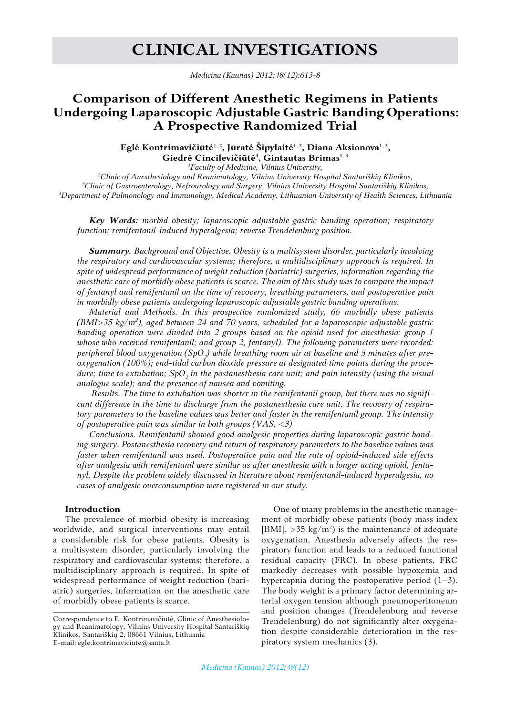# **Clinical Investigations**

*Medicina (Kaunas) 2012;48(12):613-8*

# **Comparison of Different Anesthetic Regimens in Patients Undergoing Laparoscopic Adjustable Gastric Banding Operations: A Prospective Randomized Trial**

Eglė Kontrimavičiūtė<sup>1, 2</sup>, Jūratė Šipylaitė<sup>1, 2</sup>, Diana Aksionova<sup>1, 3</sup>, **Giedrė Cincilevičiūtė<sup>4</sup> , Gintautas Brimas1, 3**

*1 Faculty of Medicine, Vilnius University,* 

*2 Clinic of Anesthesiology and Reanimatology, Vilnius University Hospital Santariškių Klinikos, 3 Clinic of Gastroenterology, Nefrourology and Surgery, Vilnius University Hospital Santariškių Klinikos, 4 Department of Pulmonology and Immunology, Medical Academy, Lithuanian University of Health Sciences, Lithuania*

*Key Words: morbid obesity; laparoscopic adjustable gastric banding operation; respiratory function; remifentanil-induced hyperalgesia; reverse Trendelenburg position.*

*Summary. Background and Objective. Obesity is a multisystem disorder, particularly involving the respiratory and cardiovascular systems; therefore, a multidisciplinary approach is required. In spite of widespread performance of weight reduction (bariatric) surgeries, information regarding the anesthetic care of morbidly obese patients is scarce. The aim of this study was to compare the impact of fentanyl and remifentanil on the time of recovery, breathing parameters, and postoperative pain in morbidly obese patients undergoing laparoscopic adjustable gastric banding operations.*

*Material and Methods. In this prospective randomized study, 66 morbidly obese patients (BMI>35 kg/m<sup>2</sup> ), aged between 24 and 70 years, scheduled for a laparoscopic adjustable gastric banding operation were divided into 2 groups based on the opioid used for anesthesia: group 1 whose who received remifentanil; and group 2, fentanyl). The following parameters were recorded: peripheral blood oxygenation (SpO<sup>2</sup> ) while breathing room air at baseline and 5 minutes after preoxygenation (100%); end-tidal carbon dioxide pressure at designated time points during the proce*dure; time to extubation; SpO<sub>2</sub> in the postanesthesia care unit; and pain intensity (using the visual *analogue scale); and the presence of nausea and vomiting.*

 *Results. The time to extubation was shorter in the remifentanil group, but there was no significant difference in the time to discharge from the postanesthesia care unit. The recovery of respiratory parameters to the baseline values was better and faster in the remifentanil group. The intensity of postoperative pain was similar in both groups (VAS, <3)*

*Conclusions. Remifentanil showed good analgesic properties during laparoscopic gastric banding surgery. Postanesthesia recovery and return of respiratory parameters to the baseline values was faster when remifentanil was used. Postoperative pain and the rate of opioid-induced side effects after analgesia with remifentanil were similar as after anesthesia with a longer acting opioid, fentanyl. Despite the problem widely discussed in literature about remifentanil-induced hyperalgesia, no cases of analgesic overconsumption were registered in our study.* 

## **Introduction**

The prevalence of morbid obesity is increasing worldwide, and surgical interventions may entail a considerable risk for obese patients. Obesity is a multisystem disorder, particularly involving the respiratory and cardiovascular systems; therefore, a multidisciplinary approach is required. In spite of widespread performance of weight reduction (bariatric) surgeries, information on the anesthetic care of morbidly obese patients is scarce.

One of many problems in the anesthetic management of morbidly obese patients (body mass index [BMI],  $>$ 35 kg/m<sup>2</sup>) is the maintenance of adequate oxygenation. Anesthesia adversely affects the respiratory function and leads to a reduced functional residual capacity (FRC). In obese patients, FRC markedly decreases with possible hypoxemia and hypercapnia during the postoperative period  $(1-3)$ . The body weight is a primary factor determining arterial oxygen tension although pneumoperitoneum and position changes (Trendelenburg and reverse Trendelenburg) do not significantly alter oxygenation despite considerable deterioration in the respiratory system mechanics (3).

Correspondence to E. Kontrimavičiūtė, Clinic of Anesthesiology and Reanimatology, Vilnius University Hospital Santariškių Klinikos, Santariškių 2, 08661 Vilnius, Lithuania E-mail: egle.kontrimaviciute@santa.lt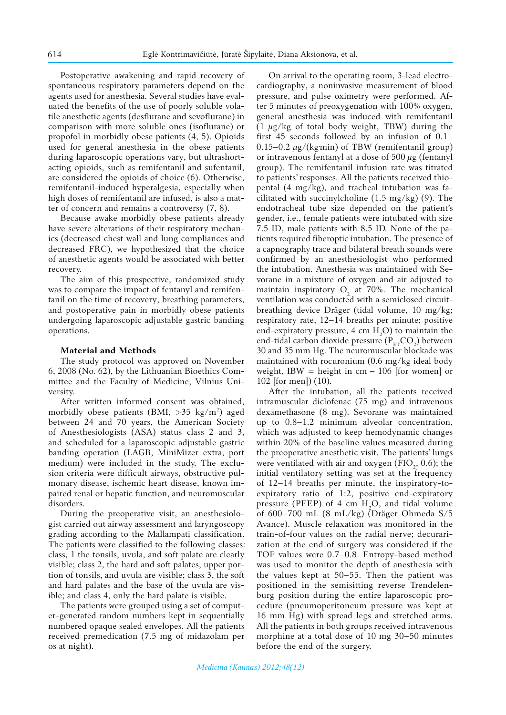Postoperative awakening and rapid recovery of spontaneous respiratory parameters depend on the agents used for anesthesia. Several studies have evaluated the benefits of the use of poorly soluble volatile anesthetic agents (desflurane and sevoflurane) in comparison with more soluble ones (isoflurane) or propofol in morbidly obese patients (4, 5). Opioids used for general anesthesia in the obese patients during laparoscopic operations vary, but ultrashortacting opioids, such as remifentanil and sufentanil, are considered the opioids of choice (6). Otherwise, remifentanil-induced hyperalgesia, especially when high doses of remifentanil are infused, is also a matter of concern and remains a controversy (7, 8).

Because awake morbidly obese patients already have severe alterations of their respiratory mechanics (decreased chest wall and lung compliances and decreased FRC), we hypothesized that the choice of anesthetic agents would be associated with better recovery.

The aim of this prospective, randomized study was to compare the impact of fentanyl and remifentanil on the time of recovery, breathing parameters, and postoperative pain in morbidly obese patients undergoing laparoscopic adjustable gastric banding operations.

# **Material and Methods**

The study protocol was approved on November 6, 2008 (No. 62), by the Lithuanian Bioethics Committee and the Faculty of Medicine, Vilnius University.

After written informed consent was obtained, morbidly obese patients (BMI,  $>35$  kg/m<sup>2</sup>) aged between 24 and 70 years, the American Society of Anesthesiologists (ASA) status class 2 and 3, and scheduled for a laparoscopic adjustable gastric banding operation (LAGB, MiniMizer extra, port medium) were included in the study. The exclusion criteria were difficult airways, obstructive pulmonary disease, ischemic heart disease, known impaired renal or hepatic function, and neuromuscular disorders.

During the preoperative visit, an anesthesiologist carried out airway assessment and laryngoscopy grading according to the Mallampati classification. The patients were classified to the following classes: class, 1 the tonsils, uvula, and soft palate are clearly visible; class 2, the hard and soft palates, upper portion of tonsils, and uvula are visible; class 3, the soft and hard palates and the base of the uvula are visible; and class 4, only the hard palate is visible.

The patients were grouped using a set of computer-generated random numbers kept in sequentially numbered opaque sealed envelopes. All the patients received premedication (7.5 mg of midazolam per os at night).

On arrival to the operating room, 3-lead electrocardiography, a noninvasive measurement of blood pressure, and pulse oximetry were performed. After 5 minutes of preoxygenation with 100% oxygen, general anesthesia was induced with remifentanil (1 *µ*g/kg of total body weight, TBW) during the first 45 seconds followed by an infusion of 0.1–  $0.15-0.2 \mu$ g/(kg·min) of TBW (remifentanil group) or intravenous fentanyl at a dose of 500 *µ*g (fentanyl group). The remifentanil infusion rate was titrated to patients' responses. All the patients received thiopental (4 mg/kg), and tracheal intubation was facilitated with succinylcholine  $(1.5 \text{ mg/kg})$  (9). The endotracheal tube size depended on the patient's gender, i.e., female patients were intubated with size 7.5 ID, male patients with 8.5 ID. None of the patients required fiberoptic intubation. The presence of a capnography trace and bilateral breath sounds were confirmed by an anesthesiologist who performed the intubation. Anesthesia was maintained with Sevorane in a mixture of oxygen and air adjusted to maintain inspiratory  $O_2$  at 70%. The mechanical ventilation was conducted with a semiclosed circuitbreathing device Dräger (tidal volume, 10 mg/kg; respiratory rate, 12–14 breaths per minute; positive end-expiratory pressure, 4 cm  $H_2O$ ) to maintain the end-tidal carbon dioxide pressure $({\rm P_{ET}CO_2})$  between 30 and 35 mm Hg. The neuromuscular blockade was maintained with rocuronium (0.6 mg/kg ideal body weight, IBW = height in  $cm - 106$  [for women] or 102 [for men]) (10).

After the intubation, all the patients received intramuscular diclofenac (75 mg) and intravenous dexamethasone (8 mg). Sevorane was maintained up to 0.8–1.2 minimum alveolar concentration, which was adjusted to keep hemodynamic changes within 20% of the baseline values measured during the preoperative anesthetic visit. The patients' lungs were ventilated with air and oxygen (FIO<sub>2</sub>, 0.6); the initial ventilatory setting was set at the frequency of 12–14 breaths per minute, the inspiratory-toexpiratory ratio of 1:2, positive end-expiratory pressure (PEEP) of 4 cm  $H_2O$ , and tidal volume of 600–700 mL (8 mL/kg) (Dräger Ohmeda S/5 Avance). Muscle relaxation was monitored in the train-of-four values on the radial nerve; decurarization at the end of surgery was considered if the TOF values were 0.7–0.8. Entropy-based method was used to monitor the depth of anesthesia with the values kept at 50–55. Then the patient was positioned in the semisitting reverse Trendelenburg position during the entire laparoscopic procedure (pneumoperitoneum pressure was kept at 16 mm Hg) with spread legs and stretched arms. All the patients in both groups received intravenous morphine at a total dose of 10 mg 30–50 minutes before the end of the surgery.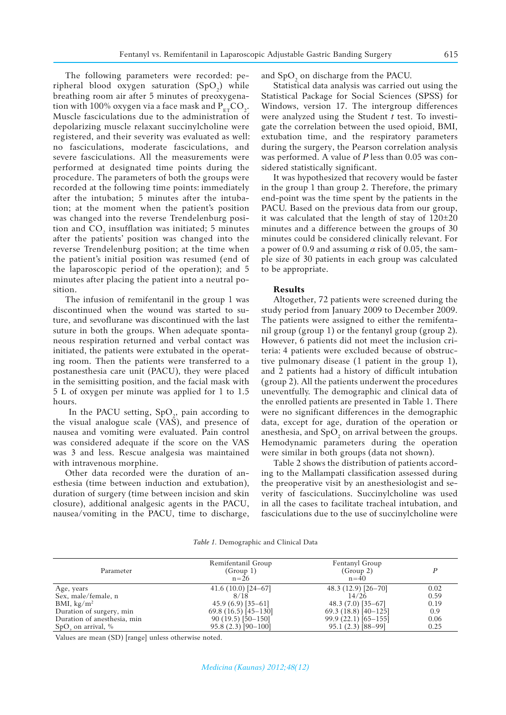The following parameters were recorded: peripheral blood oxygen saturation  $(SpO<sub>2</sub>)$  while breathing room air after 5 minutes of preoxygenation with 100% oxygen via a face mask and  $P_{ET}CO_2$ . Muscle fasciculations due to the administration of depolarizing muscle relaxant succinylcholine were registered, and their severity was evaluated as well: no fasciculations, moderate fasciculations, and severe fasciculations. All the measurements were performed at designated time points during the procedure. The parameters of both the groups were recorded at the following time points: immediately after the intubation; 5 minutes after the intubation; at the moment when the patient's position was changed into the reverse Trendelenburg position and  $CO_2$  insufflation was initiated; 5 minutes after the patients' position was changed into the reverse Trendelenburg position; at the time when the patient's initial position was resumed (end of the laparoscopic period of the operation); and 5 minutes after placing the patient into a neutral position.

The infusion of remifentanil in the group 1 was discontinued when the wound was started to suture, and sevoflurane was discontinued with the last suture in both the groups. When adequate spontaneous respiration returned and verbal contact was initiated, the patients were extubated in the operating room. Then the patients were transferred to a postanesthesia care unit (PACU), they were placed in the semisitting position, and the facial mask with 5 L of oxygen per minute was applied for 1 to 1.5 hours.

In the PACU setting,  $SpO<sub>2</sub>$ , pain according to the visual analogue scale  $(VA\bar{S})$ , and presence of nausea and vomiting were evaluated. Pain control was considered adequate if the score on the VAS was 3 and less. Rescue analgesia was maintained with intravenous morphine.

Other data recorded were the duration of anesthesia (time between induction and extubation), duration of surgery (time between incision and skin closure), additional analgesic agents in the PACU, nausea/vomiting in the PACU, time to discharge,

and  $SpO<sub>2</sub>$  on discharge from the PACU.

Statistical data analysis was carried out using the Statistical Package for Social Sciences (SPSS) for Windows, version 17. The intergroup differences were analyzed using the Student *t* test. To investigate the correlation between the used opioid, BMI, extubation time, and the respiratory parameters during the surgery, the Pearson correlation analysis was performed. A value of *P* less than 0.05 was considered statistically significant.

It was hypothesized that recovery would be faster in the group 1 than group 2. Therefore, the primary end-point was the time spent by the patients in the PACU. Based on the previous data from our group, it was calculated that the length of stay of 120±20 minutes and a difference between the groups of 30 minutes could be considered clinically relevant. For a power of 0.9 and assuming *α* risk of 0.05, the sample size of 30 patients in each group was calculated to be appropriate.

#### **Results**

Altogether, 72 patients were screened during the study period from January 2009 to December 2009. The patients were assigned to either the remifentanil group (group 1) or the fentanyl group (group 2). However, 6 patients did not meet the inclusion criteria: 4 patients were excluded because of obstructive pulmonary disease (1 patient in the group 1), and 2 patients had a history of difficult intubation (group 2). All the patients underwent the procedures uneventfully. The demographic and clinical data of the enrolled patients are presented in Table 1. There were no significant differences in the demographic data, except for age, duration of the operation or anesthesia, and  $\mathrm{SpO}_2$  on arrival between the groups. Hemodynamic parameters during the operation were similar in both groups (data not shown).

Table 2 shows the distribution of patients according to the Mallampati classification assessed during the preoperative visit by an anesthesiologist and severity of fasciculations. Succinylcholine was used in all the cases to facilitate tracheal intubation, and fasciculations due to the use of succinylcholine were

|  | Table 1. Demographic and Clinical Data |  |  |  |  |
|--|----------------------------------------|--|--|--|--|
|--|----------------------------------------|--|--|--|--|

| Parameter                   | Remifentanil Group<br>(Group 1)<br>$n = 26$ | Fentanyl Group<br>(Group 2)<br>$n=40$ | D    |
|-----------------------------|---------------------------------------------|---------------------------------------|------|
| Age, years                  | $41.6(10.0)[24-67]$                         | $48.3(12.9)[26-70]$                   | 0.02 |
| Sex, male/female, n         | 8/18                                        | 14/26                                 | 0.59 |
| BMI, $\text{kg/m}^2$        | $45.9(6.9)[35-61]$                          | $48.3(7.0)[35-67]$                    | 0.19 |
| Duration of surgery, min    | $69.8(16.5)[45-130]$                        | $69.3(18.8)[40-125]$                  | 0.9  |
| Duration of anesthesia, min | $90(19.5)$ [50-150]                         | $99.9(22.1)$ [65-155]                 | 0.06 |
| $SpO2$ on arrival, %        | $95.8(2.3)$ [90-100]                        | $95.1(2.3)$ [88-99]                   | 0.25 |

Values are mean (SD) [range] unless otherwise noted.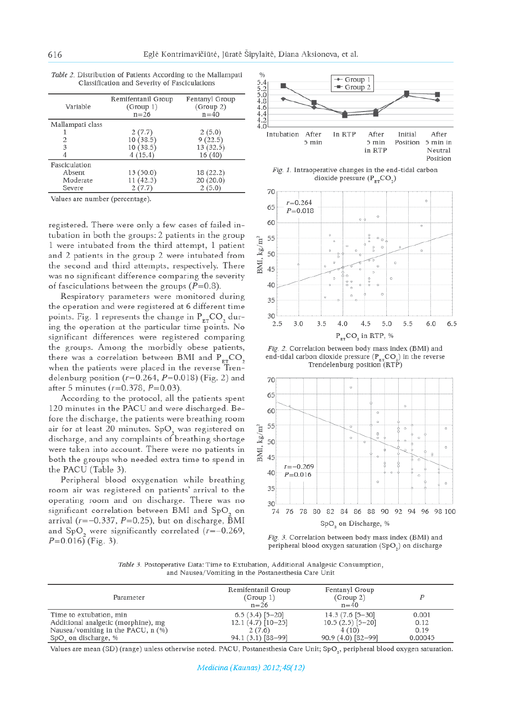| Variable         | Remifentanil Group<br>(Group 1)<br>$n = 26$ | Fentanyl Group<br>(Group 2)<br>$n = 40$ |
|------------------|---------------------------------------------|-----------------------------------------|
| Mallampati class |                                             |                                         |
|                  | 2(7.7)                                      | 2(5.0)                                  |
| 2                | 10(38.5)                                    | 9(22.5)                                 |
| 3                | 10(38.5)                                    | 13 (32.5)                               |
|                  | 4(15.4)                                     | 16(40)                                  |
| Fasciculation    |                                             |                                         |
| Absent           | 13(50.0)                                    | 18 (22.2)                               |
| Moderate         | 11(42.3)                                    | 20(20.0)                                |
| Severe           | 2(7.7)                                      | 2(5.0)                                  |

Table 2. Distribution of Patients According to the Mallampati Classification and Severity of Fasciculations

Values are number (percentage).

registered. There were only a few cases of failed intubation in both the groups: 2 patients in the group 1 were intubated from the third attempt, 1 patient and 2 patients in the group 2 were intubated from the second and third attempts, respectively. There was no significant difference comparing the severity of fasciculations between the groups  $(P=0.8)$ .

Respiratory parameters were monitored during the operation and were registered at 6 different time points. Fig. 1 represents the change in  $P_{\text{FT}}CO$ , during the operation at the particular time points. No significant differences were registered comparing the groups. Among the morbidly obese patients, there was a correlation between BMI and  $P_{ET}CO_2$ <br>when the patients were placed in the reverse Trendelenburg position ( $r=0.264$ ,  $P=0.018$ ) (Fig. 2) and after 5 minutes ( $r=0.378$ ,  $P=0.03$ ).

According to the protocol, all the patients spent 120 minutes in the PACU and were discharged. Before the discharge, the patients were breathing room air for at least 20 minutes. SpO<sub>2</sub> was registered on discharge, and any complaints of breathing shortage were taken into account. There were no patients in both the groups who needed extra time to spend in the PACU (Table 3).

Peripheral blood oxygenation while breathing room air was registered on patients' arrival to the operating room and on discharge. There was no significant correlation between BMI and SpO<sub>2</sub> on arrival ( $r=-0.337$ ,  $P=0.25$ ), but on discharge,  $\bar{B}MI$ and SpO<sub>2</sub> were significantly correlated  $(r=-0.269,$  $P=0.016$ ) (Fig. 3).



Fig. 1. Intraoperative changes in the end-tidal carbon dioxide pressure  $(P_{\text{RT}}CO_2)$ 



Fig. 2. Correlation between body mass index (BMI) and end-tidal carbon dioxide pressure ( $P_{\rm gr}CO_2$ ) in the reverse Trendelenburg position (RTP)





Table 3. Postoperative Data: Time to Extubation, Additional Analgesic Consumption, and Nausea/Vomiting in the Postanesthesia Care Unit

| Parameter                                                      | Remifentanil Group<br>(Group 1)<br>$n = 26$ | Fentanyl Group<br>(Group 2)<br>$n = 40$   |               |
|----------------------------------------------------------------|---------------------------------------------|-------------------------------------------|---------------|
| Time to extubation, min<br>Additional analgetic (morphine), mg | $6.5(3.4)[5-20]$<br>$12.1(4.7)$ [10-25]     | $14.3(7.6 [5 - 30]$<br>$10.5(2.5)$ [5-20] | 0.001<br>0.12 |
| Nausea/vomiting in the PACU, $n$ (%)                           | 2(7.6)                                      | 4(10)                                     | 0.19          |
| SpO, on discharge, %                                           | 94.1 (3.1) [88-99]                          | $90.9(4.0)$ [82-99]                       | 0.00045       |

Values are mean (SD) (range) unless otherwise noted. PACU, Postanesthesia Care Unit; SpO<sub>2</sub>, peripheral blood oxygen saturation.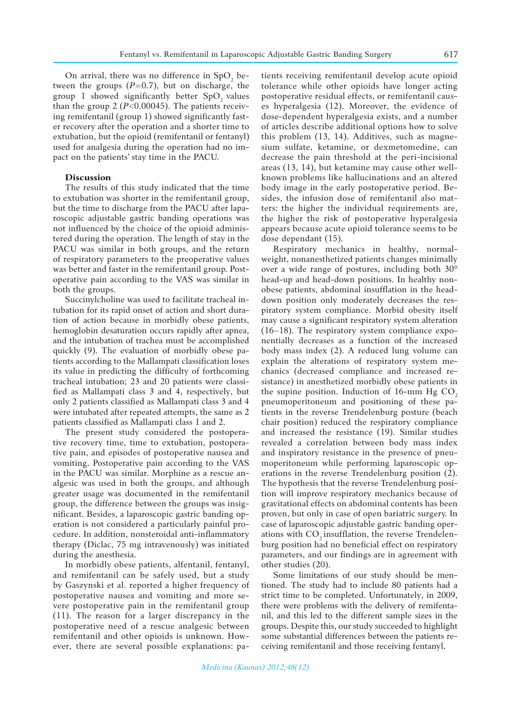On arrival, there was no difference in  $SpO<sub>2</sub>$  between the groups  $(P=0.7)$ , but on discharge, the group 1 showed significantly better  $SpO$ , values than the group 2 (*P*<0.00045). The patients receiving remifentanil (group 1) showed significantly faster recovery after the operation and a shorter time to extubation, but the opioid (remifentanil or fentanyl) used for analgesia during the operation had no impact on the patients' stay time in the PACU.

#### **Discussion**

The results of this study indicated that the time to extubation was shorter in the remifentanil group, but the time to discharge from the PACU after laparoscopic adjustable gastric banding operations was not influenced by the choice of the opioid administered during the operation. The length of stay in the PACU was similar in both groups, and the return of respiratory parameters to the preoperative values was better and faster in the remifentanil group. Postoperative pain according to the VAS was similar in both the groups.

Succinylcholine was used to facilitate tracheal intubation for its rapid onset of action and short duration of action because in morbidly obese patients, hemoglobin desaturation occurs rapidly after apnea, and the intubation of trachea must be accomplished quickly (9). The evaluation of morbidly obese patients according to the Mallampati classification loses its value in predicting the difficulty of forthcoming tracheal intubation; 23 and 20 patients were classified as Mallampati class 3 and 4, respectively, but only 2 patients classified as Mallampati class 3 and 4 were intubated after repeated attempts, the same as 2 patients classified as Mallampati class 1 and 2.

The present study considered the postoperative recovery time, time to extubation, postoperative pain, and episodes of postoperative nausea and vomiting. Postoperative pain according to the VAS in the PACU was similar. Morphine as a rescue analgesic was used in both the groups, and although greater usage was documented in the remifentanil group, the difference between the groups was insignificant. Besides, a laparoscopic gastric banding operation is not considered a particularly painful procedure. In addition, nonsteroidal anti-inflammatory therapy (Diclac, 75 mg intravenously) was initiated during the anesthesia.

In morbidly obese patients, alfentanil, fentanyl, and remifentanil can be safely used, but a study by Gaszynski et al. reported a higher frequency of postoperative nausea and vomiting and more severe postoperative pain in the remifentanil group (11). The reason for a larger discrepancy in the postoperative need of a rescue analgesic between remifentanil and other opioids is unknown. However, there are several possible explanations: patients receiving remifentanil develop acute opioid tolerance while other opioids have longer acting postoperative residual effects, or remifentanil causes hyperalgesia (12). Moreover, the evidence of dose-dependent hyperalgesia exists, and a number of articles describe additional options how to solve this problem (13, 14). Additives, such as magnesium sulfate, ketamine, or dexmetomedine, can decrease the pain threshold at the peri-incisional areas (13, 14), but ketamine may cause other wellknown problems like hallucinations and an altered body image in the early postoperative period. Besides, the infusion dose of remifentanil also matters: the higher the individual requirements are, the higher the risk of postoperative hyperalgesia appears because acute opioid tolerance seems to be dose dependant (15).

Respiratory mechanics in healthy, normalweight, nonanesthetized patients changes minimally over a wide range of postures, including both 30° head-up and head-down positions. In healthy nonobese patients, abdominal insufflation in the headdown position only moderately decreases the respiratory system compliance. Morbid obesity itself may cause a significant respiratory system alteration (16–18). The respiratory system compliance exponentially decreases as a function of the increased body mass index (2). A reduced lung volume can explain the alterations of respiratory system mechanics (decreased compliance and increased resistance) in anesthetized morbidly obese patients in the supine position. Induction of  $16$ -mm Hg CO<sub>2</sub> pneumoperitoneum and positioning of these patients in the reverse Trendelenburg posture (beach chair position) reduced the respiratory compliance and increased the resistance (19). Similar studies revealed a correlation between body mass index and inspiratory resistance in the presence of pneumoperitoneum while performing laparoscopic operations in the reverse Trendelenburg position (2). The hypothesis that the reverse Trendelenburg position will improve respiratory mechanics because of gravitational effects on abdominal contents has been proven, but only in case of open bariatric surgery. In case of laparoscopic adjustable gastric banding operations with CO<sub>2</sub> insufflation, the reverse Trendelenburg position had no beneficial effect on respiratory parameters, and our findings are in agreement with other studies (20).

Some limitations of our study should be mentioned. The study had to include 80 patients had a strict time to be completed. Unfortunately, in 2009, there were problems with the delivery of remifentanil, and this led to the different sample sizes in the groups. Despite this, our study succeeded to highlight some substantial differences between the patients receiving remifentanil and those receiving fentanyl.